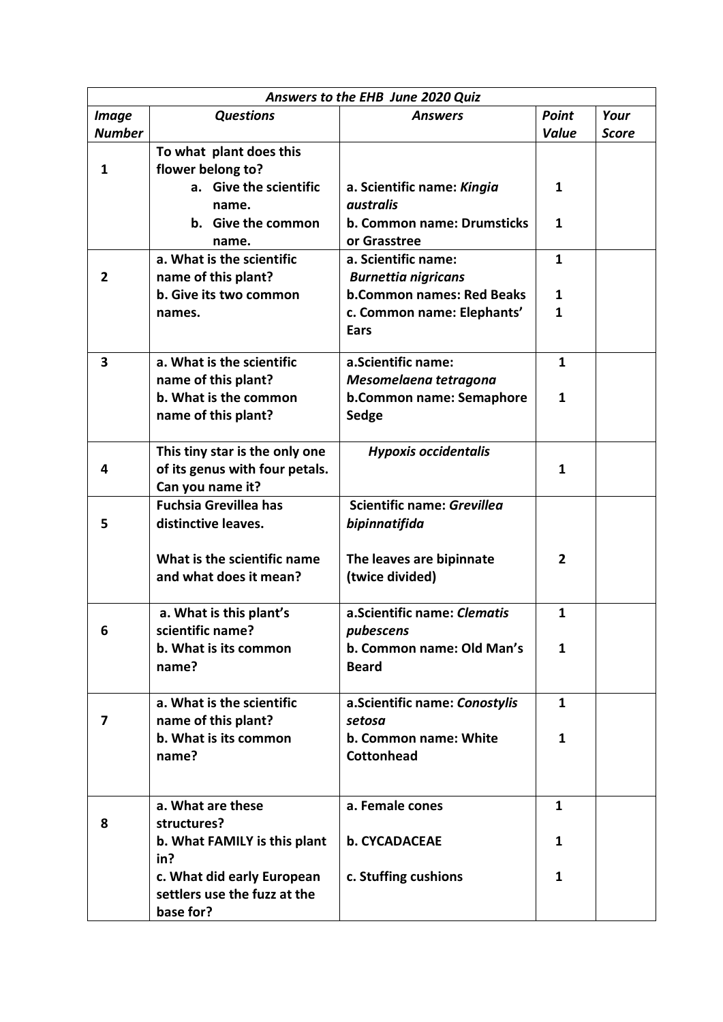| Answers to the EHB June 2020 Quiz |                                |                                  |                |              |  |  |  |
|-----------------------------------|--------------------------------|----------------------------------|----------------|--------------|--|--|--|
| <b>Image</b>                      | <b>Questions</b>               | <b>Answers</b>                   | <b>Point</b>   | Your         |  |  |  |
| <b>Number</b>                     |                                |                                  | <b>Value</b>   | <b>Score</b> |  |  |  |
|                                   | To what plant does this        |                                  |                |              |  |  |  |
| 1                                 | flower belong to?              |                                  |                |              |  |  |  |
|                                   | a. Give the scientific         | a. Scientific name: Kingia       | 1              |              |  |  |  |
|                                   | name.                          | australis                        |                |              |  |  |  |
|                                   | b. Give the common             | b. Common name: Drumsticks       | 1              |              |  |  |  |
|                                   | name.                          | or Grasstree                     |                |              |  |  |  |
|                                   | a. What is the scientific      | a. Scientific name:              | $\mathbf{1}$   |              |  |  |  |
| 2                                 | name of this plant?            | <b>Burnettia nigricans</b>       |                |              |  |  |  |
|                                   | b. Give its two common         | <b>b.Common names: Red Beaks</b> | 1              |              |  |  |  |
|                                   | names.                         | c. Common name: Elephants'       | 1              |              |  |  |  |
|                                   |                                | Ears                             |                |              |  |  |  |
|                                   |                                |                                  |                |              |  |  |  |
| 3                                 | a. What is the scientific      | a.Scientific name:               | $\mathbf{1}$   |              |  |  |  |
|                                   | name of this plant?            | Mesomelaena tetragona            |                |              |  |  |  |
|                                   | b. What is the common          | b.Common name: Semaphore         | 1              |              |  |  |  |
|                                   | name of this plant?            | Sedge                            |                |              |  |  |  |
|                                   |                                |                                  |                |              |  |  |  |
|                                   | This tiny star is the only one | <b>Hypoxis occidentalis</b>      |                |              |  |  |  |
| 4                                 | of its genus with four petals. |                                  | $\mathbf{1}$   |              |  |  |  |
|                                   | Can you name it?               |                                  |                |              |  |  |  |
|                                   | <b>Fuchsia Grevillea has</b>   | Scientific name: Grevillea       |                |              |  |  |  |
| 5                                 | distinctive leaves.            | bipinnatifida                    |                |              |  |  |  |
|                                   |                                |                                  |                |              |  |  |  |
|                                   | What is the scientific name    | The leaves are bipinnate         | $\overline{2}$ |              |  |  |  |
|                                   | and what does it mean?         | (twice divided)                  |                |              |  |  |  |
|                                   | a. What is this plant's        | a.Scientific name: Clematis      | $\mathbf{1}$   |              |  |  |  |
|                                   | scientific name?               | pubescens                        |                |              |  |  |  |
|                                   | b. What is its common          | b. Common name: Old Man's        | 1              |              |  |  |  |
|                                   | name?                          | <b>Beard</b>                     |                |              |  |  |  |
|                                   |                                |                                  |                |              |  |  |  |
|                                   | a. What is the scientific      | a.Scientific name: Conostylis    | 1              |              |  |  |  |
| 7                                 | name of this plant?            | setosa                           |                |              |  |  |  |
|                                   | b. What is its common          | b. Common name: White            | 1              |              |  |  |  |
|                                   | name?                          | <b>Cottonhead</b>                |                |              |  |  |  |
|                                   |                                |                                  |                |              |  |  |  |
|                                   |                                |                                  |                |              |  |  |  |
|                                   | a. What are these              | a. Female cones                  | 1              |              |  |  |  |
| 8                                 | structures?                    |                                  |                |              |  |  |  |
|                                   | b. What FAMILY is this plant   | <b>b. CYCADACEAE</b>             | 1              |              |  |  |  |
|                                   | in?                            |                                  |                |              |  |  |  |
|                                   | c. What did early European     | c. Stuffing cushions             | 1              |              |  |  |  |
|                                   | settlers use the fuzz at the   |                                  |                |              |  |  |  |
|                                   | base for?                      |                                  |                |              |  |  |  |